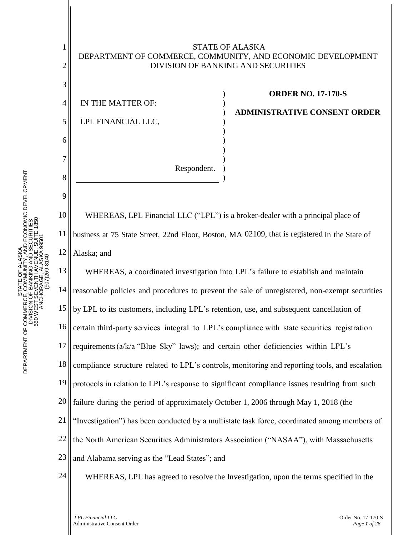## STATE OF ALASKA DEPARTMENT OF COMMERCE, COMMUNITY, AND ECONOMIC DEVELOPMENT DIVISION OF BANKING AND SECURITIES

) ) ) ) ) ) ) ) )

4 5 IN THE MATTER OF: LPL FINANCIAL LLC,

1

2

3

6

7

8

9

10

11

12

**ORDER NO. 17-170-S**

**ADMINISTRATIVE CONSENT ORDER**

WHEREAS, LPL Financial LLC ("LPL") is a broker-dealer with a principal place of business at 75 State Street, 22nd Floor, Boston, MA 02109, that is registered in the State of Alaska; and

)

Respondent.

13 14 15 16 17 18 19 20 21 22 23 24 WHEREAS, a coordinated investigation into LPL's failure to establish and maintain reasonable policies and procedures to prevent the sale of unregistered, non-exempt securities by LPL to its customers, including LPL's retention, use, and subsequent cancellation of certain third-party services integral to LPL's compliance with state securities registration requirements(a/k/a "Blue Sky" laws); and certain other deficiencies within LPL's compliance structure related to LPL's controls, monitoring and reporting tools, and escalation protocols in relation to LPL's response to significant compliance issues resulting from such failure during the period of approximately October 1, 2006 through May 1, 2018 (the "Investigation") has been conducted by a multistate task force, coordinated among members of the North American Securities Administrators Association ("NASAA"), with Massachusetts and Alabama serving as the "Lead States"; and WHEREAS, LPL has agreed to resolve the Investigation, upon the terms specified in the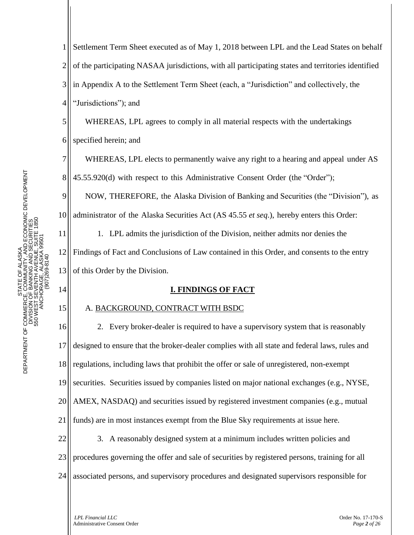8

9

14

15

1 2 3 4 Settlement Term Sheet executed as of May 1, 2018 between LPL and the Lead States on behalf of the participating NASAA jurisdictions, with all participating states and territories identified in Appendix A to the Settlement Term Sheet (each, a "Jurisdiction" and collectively, the "Jurisdictions"); and

5 6 WHEREAS, LPL agrees to comply in all material respects with the undertakings specified herein; and

WHEREAS, LPL elects to permanently waive any right to a hearing and appeal under AS 45.55.920(d) with respect to this Administrative Consent Order (the "Order");

NOW, THEREFORE, the Alaska Division of Banking and Securities (the "Division"), as

10 administrator of the Alaska Securities Act (AS 45.55 *et seq*.), hereby enters this Order:

11 12 13 1. LPL admits the jurisdiction of the Division, neither admits nor denies the Findings of Fact and Conclusions of Law contained in this Order, and consents to the entry of this Order by the Division.

# **I. FINDINGS OF FACT**

# A. BACKGROUND, CONTRACT WITH BSDC

16 17 18 19 20 21 22 23 24 2. Every broker-dealer is required to have a supervisory system that is reasonably designed to ensure that the broker-dealer complies with all state and federal laws, rules and regulations, including laws that prohibit the offer or sale of unregistered, non-exempt securities. Securities issued by companies listed on major national exchanges (e.g., NYSE, AMEX, NASDAQ) and securities issued by registered investment companies (e.g., mutual funds) are in most instances exempt from the Blue Sky requirements at issue here. 3. A reasonably designed system at a minimum includes written policies and procedures governing the offer and sale of securities by registered persons, training for all associated persons, and supervisory procedures and designated supervisors responsible for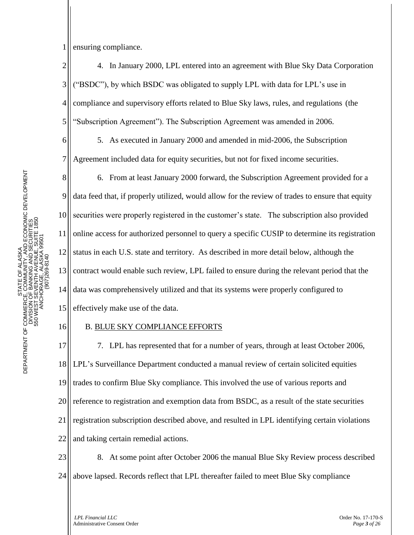1 ensuring compliance.

6

7

11

16

2 3 4 5 4. In January 2000, LPL entered into an agreement with Blue Sky Data Corporation ("BSDC"), by which BSDC was obligated to supply LPL with data for LPL's use in compliance and supervisory efforts related to Blue Sky laws, rules, and regulations (the "Subscription Agreement"). The Subscription Agreement was amended in 2006.

5. As executed in January 2000 and amended in mid-2006, the Subscription Agreement included data for equity securities, but not for fixed income securities.

8 9 10 12 13 14 15 6. From at least January 2000 forward, the Subscription Agreement provided for a data feed that, if properly utilized, would allow for the review of trades to ensure that equity securities were properly registered in the customer's state. The subscription also provided online access for authorized personnel to query a specific CUSIP to determine its registration status in each U.S. state and territory. As described in more detail below, although the contract would enable such review, LPL failed to ensure during the relevant period that the data was comprehensively utilized and that its systems were properly configured to effectively make use of the data.

# B. BLUE SKY COMPLIANCE EFFORTS

17 18 19 20 21 22 7. LPL has represented that for a number of years, through at least October 2006, LPL's Surveillance Department conducted a manual review of certain solicited equities trades to confirm Blue Sky compliance. This involved the use of various reports and reference to registration and exemption data from BSDC, as a result of the state securities registration subscription described above, and resulted in LPL identifying certain violations and taking certain remedial actions.

23 24 8. At some point after October 2006 the manual Blue Sky Review process described above lapsed. Records reflect that LPL thereafter failed to meet Blue Sky compliance

*LPL Financial LLC* Order No. 17-170-S Administrative Consent Order *Page 3 of 26*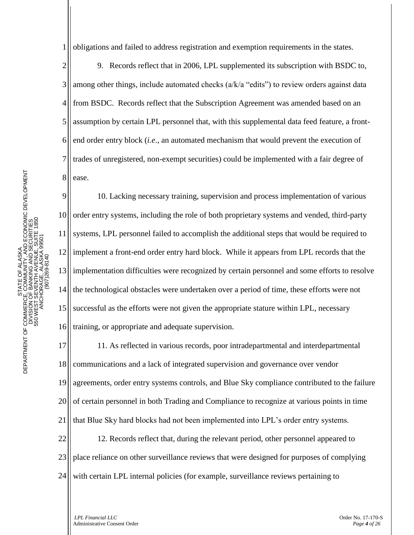1 obligations and failed to address registration and exemption requirements in the states.

2 3 4 5 6 7 8 9. Records reflect that in 2006, LPL supplemented its subscription with BSDC to, among other things, include automated checks (a/k/a "edits") to review orders against data from BSDC. Records reflect that the Subscription Agreement was amended based on an assumption by certain LPL personnel that, with this supplemental data feed feature, a frontend order entry block (*i.e*., an automated mechanism that would prevent the execution of trades of unregistered, non-exempt securities) could be implemented with a fair degree of ease.

9 10 11 12 13 14 15 16 10. Lacking necessary training, supervision and process implementation of various order entry systems, including the role of both proprietary systems and vended, third-party systems, LPL personnel failed to accomplish the additional steps that would be required to implement a front-end order entry hard block. While it appears from LPL records that the implementation difficulties were recognized by certain personnel and some efforts to resolve the technological obstacles were undertaken over a period of time, these efforts were not successful as the efforts were not given the appropriate stature within LPL, necessary training, or appropriate and adequate supervision.

17 18 19 20 21 22 23 24 11. As reflected in various records, poor intradepartmental and interdepartmental communications and a lack of integrated supervision and governance over vendor agreements, order entry systems controls, and Blue Sky compliance contributed to the failure of certain personnel in both Trading and Compliance to recognize at various points in time that Blue Sky hard blocks had not been implemented into LPL's order entry systems. 12. Records reflect that, during the relevant period, other personnel appeared to place reliance on other surveillance reviews that were designed for purposes of complying with certain LPL internal policies (for example, surveillance reviews pertaining to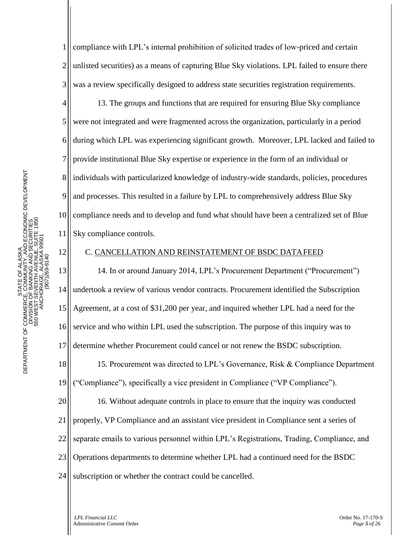12

1 2 3 compliance with LPL's internal prohibition of solicited trades of low-priced and certain unlisted securities) as a means of capturing Blue Sky violations. LPL failed to ensure there was a review specifically designed to address state securities registration requirements.

4 5 6 7 8 9 10 13. The groups and functions that are required for ensuring Blue Sky compliance were not integrated and were fragmented across the organization, particularly in a period during which LPL was experiencing significant growth. Moreover, LPL lacked and failed to provide institutional Blue Sky expertise or experience in the form of an individual or individuals with particularized knowledge of industry-wide standards, policies, procedures and processes. This resulted in a failure by LPL to comprehensively address Blue Sky compliance needs and to develop and fund what should have been a centralized set of Blue Sky compliance controls.

#### C. CANCELLATION AND REINSTATEMENT OF BSDC DATAFEED

13 14 15 16 17 18 19 20 21 22 23 14. In or around January 2014, LPL's Procurement Department ("Procurement") undertook a review of various vendor contracts. Procurement identified the Subscription Agreement, at a cost of \$31,200 per year, and inquired whether LPL had a need for the service and who within LPL used the subscription. The purpose of this inquiry was to determine whether Procurement could cancel or not renew the BSDC subscription. 15. Procurement was directed to LPL's Governance, Risk & Compliance Department ("Compliance"), specifically a vice president in Compliance ("VP Compliance"). 16. Without adequate controls in place to ensure that the inquiry was conducted properly, VP Compliance and an assistant vice president in Compliance sent a series of separate emails to various personnel within LPL's Registrations, Trading, Compliance, and Operations departments to determine whether LPL had a continued need for the BSDC

24 subscription or whether the contract could be cancelled.

*LPL Financial LLC* Order No. 17-170-S Administrative Consent Order *Page 5 of 26*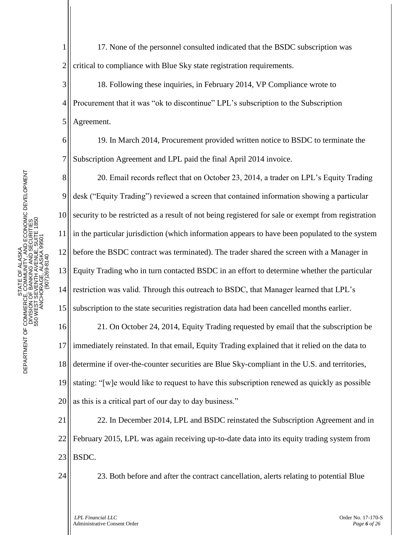7

9

10

11

12

13

14

1 2 17. None of the personnel consulted indicated that the BSDC subscription was critical to compliance with Blue Sky state registration requirements.

3 4 5 18. Following these inquiries, in February 2014, VP Compliance wrote to Procurement that it was "ok to discontinue" LPL's subscription to the Subscription Agreement.

19. In March 2014, Procurement provided written notice to BSDC to terminate the Subscription Agreement and LPL paid the final April 2014 invoice.

8 20. Email records reflect that on October 23, 2014, a trader on LPL's Equity Trading desk ("Equity Trading") reviewed a screen that contained information showing a particular security to be restricted as a result of not being registered for sale or exempt from registration in the particular jurisdiction (which information appears to have been populated to the system before the BSDC contract was terminated). The trader shared the screen with a Manager in Equity Trading who in turn contacted BSDC in an effort to determine whether the particular restriction was valid. Through this outreach to BSDC, that Manager learned that LPL's

15 subscription to the state securities registration data had been cancelled months earlier.

16 17 18 19 20 21. On October 24, 2014, Equity Trading requested by email that the subscription be immediately reinstated. In that email, Equity Trading explained that it relied on the data to determine if over-the-counter securities are Blue Sky-compliant in the U.S. and territories, stating: "[w]e would like to request to have this subscription renewed as quickly as possible as this is a critical part of our day to day business."

21 22 23 22. In December 2014, LPL and BSDC reinstated the Subscription Agreement and in February 2015, LPL was again receiving up-to-date data into its equity trading system from BSDC.

24

23. Both before and after the contract cancellation, alerts relating to potential Blue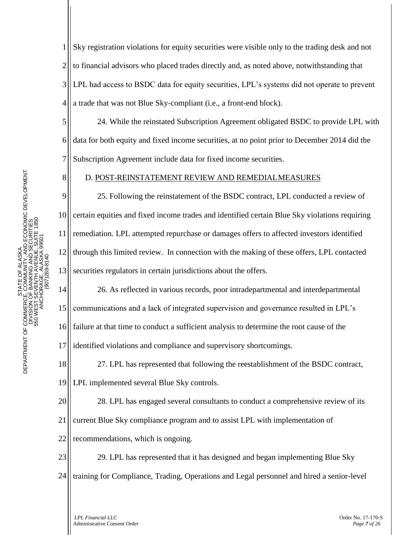1 2 3 4 Sky registration violations for equity securities were visible only to the trading desk and not to financial advisors who placed trades directly and, as noted above, notwithstanding that LPL had access to BSDC data for equity securities, LPL's systems did not operate to prevent a trade that was not Blue Sky-compliant (i.e., a front-end block).

24. While the reinstated Subscription Agreement obligated BSDC to provide LPL with data for both equity and fixed income securities, at no point prior to December 2014 did the Subscription Agreement include data for fixed income securities.

# D. POST-REINSTATEMENT REVIEW AND REMEDIALMEASURES

25. Following the reinstatement of the BSDC contract, LPL conducted a review of certain equities and fixed income trades and identified certain Blue Sky violations requiring remediation. LPL attempted repurchase or damages offers to affected investors identified through this limited review. In connection with the making of these offers, LPL contacted securities regulators in certain jurisdictions about the offers.

17 26. As reflected in various records, poor intradepartmental and interdepartmental communications and a lack of integrated supervision and governance resulted in LPL's failure at that time to conduct a sufficient analysis to determine the root cause of the identified violations and compliance and supervisory shortcomings.

18 19 27. LPL has represented that following the reestablishment of the BSDC contract, LPL implemented several Blue Sky controls.

20 28. LPL has engaged several consultants to conduct a comprehensive review of its

21 current Blue Sky compliance program and to assist LPL with implementation of

22 recommendations, which is ongoing.

23 24 29. LPL has represented that it has designed and began implementing Blue Sky training for Compliance, Trading, Operations and Legal personnel and hired a senior-level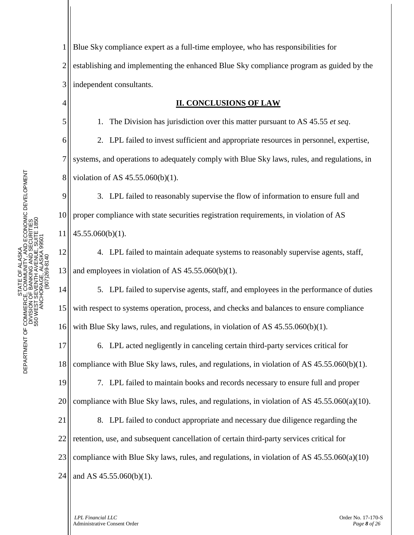5

6

7

8

1 2 3 Blue Sky compliance expert as a full-time employee, who has responsibilities for establishing and implementing the enhanced Blue Sky compliance program as guided by the independent consultants.

#### **II. CONCLUSIONS OF LAW**

1. The Division has jurisdiction over this matter pursuant to AS 45.55 *et seq*.

2. LPL failed to invest sufficient and appropriate resources in personnel, expertise, systems, and operations to adequately comply with Blue Sky laws, rules, and regulations, in violation of AS 45.55.060(b)(1).

9 10 11 3. LPL failed to reasonably supervise the flow of information to ensure full and proper compliance with state securities registration requirements, in violation of AS 45.55.060(b)(1).

12 13 4. LPL failed to maintain adequate systems to reasonably supervise agents, staff, and employees in violation of AS 45.55.060(b)(1).

14 15 16 5. LPL failed to supervise agents, staff, and employees in the performance of duties with respect to systems operation, process, and checks and balances to ensure compliance with Blue Sky laws, rules, and regulations, in violation of AS 45.55.060(b)(1).

17 18 6. LPL acted negligently in canceling certain third-party services critical for compliance with Blue Sky laws, rules, and regulations, in violation of AS 45.55.060(b)(1).

19 20 7. LPL failed to maintain books and records necessary to ensure full and proper compliance with Blue Sky laws, rules, and regulations, in violation of AS  $45.55.060(a)(10)$ .

21 22 23 8. LPL failed to conduct appropriate and necessary due diligence regarding the retention, use, and subsequent cancellation of certain third-party services critical for compliance with Blue Sky laws, rules, and regulations, in violation of AS  $45.55.060(a)(10)$ 

24 and AS 45.55.060(b)(1).

> *LPL Financial LLC* Order No. 17-170-S Administrative Consent Order *Page 8 of 26*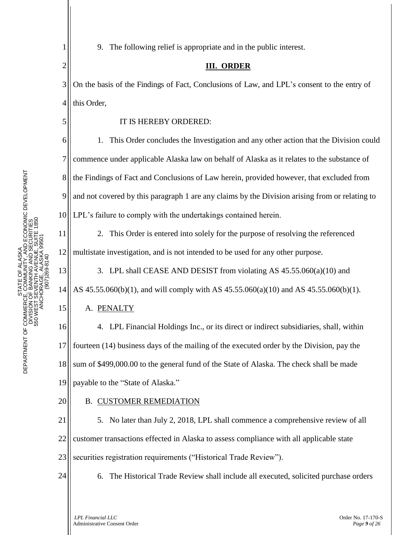9. The following relief is appropriate and in the public interest.

## **III. ORDER**

3 4 On the basis of the Findings of Fact, Conclusions of Law, and LPL's consent to the entry of this Order,

## IT IS HEREBY ORDERED:

1. This Order concludes the Investigation and any other action that the Division could commence under applicable Alaska law on behalf of Alaska as it relates to the substance of the Findings of Fact and Conclusions of Law herein, provided however, that excluded from and not covered by this paragraph 1 are any claims by the Division arising from or relating to LPL's failure to comply with the undertakings contained herein.

11 12 2. This Order is entered into solely for the purpose of resolving the referenced multistate investigation, and is not intended to be used for any other purpose.

13 14 3. LPL shall CEASE AND DESIST from violating AS 45.55.060(a)(10) and AS 45.55.060(b)(1), and will comply with AS 45.55.060(a)(10) and AS 45.55.060(b)(1).

A. PENALTY

16 17 18 19 4. LPL Financial Holdings Inc., or its direct or indirect subsidiaries, shall, within fourteen (14) business days of the mailing of the executed order by the Division, pay the sum of \$499,000.00 to the general fund of the State of Alaska. The check shall be made payable to the "State of Alaska."

20

1

2

5

6

7

8

9

10

15

#### B. CUSTOMER REMEDIATION

21 22 23 5. No later than July 2, 2018, LPL shall commence a comprehensive review of all customer transactions effected in Alaska to assess compliance with all applicable state securities registration requirements ("Historical Trade Review").



6. The Historical Trade Review shall include all executed, solicited purchase orders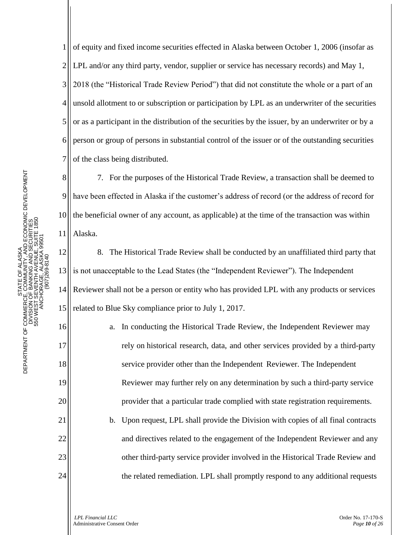STATE OF ALASK DEPARTMENT OF COMMERCE, COMMUNITY, AND ECONOMIC DEVELOPMENT DIVISION OF BANKING AND SECURITI 550 WEST SEVENTH AVENUE, SUITE 1850 ANCHORAGE, ALASKA 995 PHONE: (907) 269-8140 STATE OF ALASKA DEPARTMENT OF COMMERCE, COMMUNITY, AND ECONOMIC DEVELOPMENT DIVISION OF BANKING AND SECURITIES 550 WEST SEVENTH AVENUE, SUITE 1850 ANCHORAGE, ALASKA 99501 STATE OF ALASKA<br>DEPARTMENT OF COMMERCE, COMMUNITY, AND ECONOMIC DEVELOPMENT<br>DIVISION OF BANKING AND SECURITIES<br>550 WEST SEVENTH AVENUE, SUITE 1850<br>550 WEST SEVENTH AVENUE, SUITE 1850<br>ANCHORO-807269-8140

11

16

17

18

19

20

21

22

23

24

1 2 3 4 5 6 7 of equity and fixed income securities effected in Alaska between October 1, 2006 (insofar as LPL and/or any third party, vendor, supplier or service has necessary records) and May 1, 2018 (the "Historical Trade Review Period") that did not constitute the whole or a part of an unsold allotment to or subscription or participation by LPL as an underwriter of the securities or as a participant in the distribution of the securities by the issuer, by an underwriter or by a person or group of persons in substantial control of the issuer or of the outstanding securities of the class being distributed.

8 9 10 7. For the purposes of the Historical Trade Review, a transaction shall be deemed to have been effected in Alaska if the customer's address of record (or the address of record for the beneficial owner of any account, as applicable) at the time of the transaction was within Alaska.

12 13 14 15 8. The Historical Trade Review shall be conducted by an unaffiliated third party that is not unacceptable to the Lead States (the "Independent Reviewer"). The Independent Reviewer shall not be a person or entity who has provided LPL with any products or services related to Blue Sky compliance prior to July 1, 2017.

> a. In conducting the Historical Trade Review, the Independent Reviewer may rely on historical research, data, and other services provided by a third-party service provider other than the Independent Reviewer. The Independent Reviewer may further rely on any determination by such a third-party service provider that a particular trade complied with state registration requirements.

> b. Upon request, LPL shall provide the Division with copies of all final contracts and directives related to the engagement of the Independent Reviewer and any other third-party service provider involved in the Historical Trade Review and the related remediation. LPL shall promptly respond to any additional requests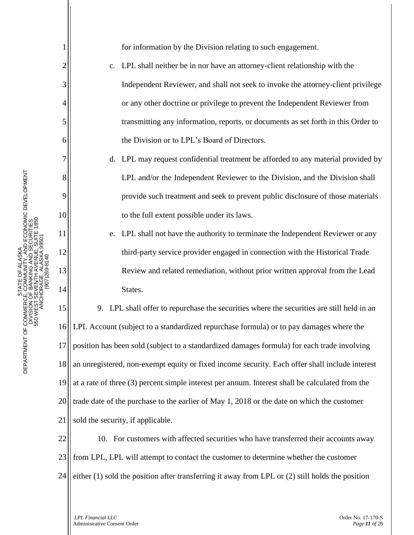STATE OF ALASK DEPARTMENT OF COMMERCE, COMMUNITY, AND ECONOMIC DEVELOPMENT DIVISION OF BANKING AND SECURITI 550 WEST SEVENTH AVENUE, SUITE 1850 ANCHORAGE, ALASKA 995 PHONE: (907) 269-8140 STATE OF ALASKA DEPARTMENT OF COMMERCE, COMMUNITY, AND ECONOMIC DEVELOPMENT DIVISION OF BANKING AND SECURITIES 550 WEST SEVENTH AVENUE, SUITE 1850 ANCHORAGE, ALASKA 99501 (907)269-8140 1

2

3

4

5

6

7

8

9

10

11

12

13

14

for information by the Division relating to such engagement.

- c. LPL shall neither be in nor have an attorney-client relationship with the Independent Reviewer, and shall not seek to invoke the attorney-client privilege or any other doctrine or privilege to prevent the Independent Reviewer from transmitting any information, reports, or documents as set forth in this Order to the Division or to LPL's Board of Directors.
- d. LPL may request confidential treatment be afforded to any material provided by LPL and/or the Independent Reviewer to the Division, and the Division shall provide such treatment and seek to prevent public disclosure of those materials to the full extent possible under its laws.
- e. LPL shall not have the authority to terminate the Independent Reviewer or any third-party service provider engaged in connection with the Historical Trade Review and related remediation, without prior written approval from the Lead States.

15 16 17 18 19 20 21 9. LPL shall offer to repurchase the securities where the securities are still held in an LPL Account (subject to a standardized repurchase formula) or to pay damages where the position has been sold (subject to a standardized damages formula) for each trade involving an unregistered, non-exempt equity or fixed income security. Each offer shall include interest at a rate of three (3) percent simple interest per annum. Interest shall be calculated from the trade date of the purchase to the earlier of May 1, 2018 or the date on which the customer sold the security, if applicable.

22 23 24 10. For customers with affected securities who have transferred their accounts away from LPL, LPL will attempt to contact the customer to determine whether the customer either (1) sold the position after transferring it away from LPL or (2) still holds the position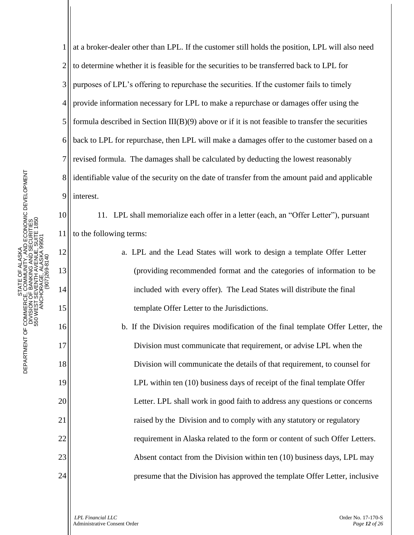11

12

13

14

15

16

17

18

19

20

21

22

23

24

1 2 3 4 5 6 7 8 9 at a broker-dealer other than LPL. If the customer still holds the position, LPL will also need to determine whether it is feasible for the securities to be transferred back to LPL for purposes of LPL's offering to repurchase the securities. If the customer fails to timely provide information necessary for LPL to make a repurchase or damages offer using the formula described in Section  $III(B)(9)$  above or if it is not feasible to transfer the securities back to LPL for repurchase, then LPL will make a damages offer to the customer based on a revised formula. The damages shall be calculated by deducting the lowest reasonably identifiable value of the security on the date of transfer from the amount paid and applicable interest.

11. LPL shall memorialize each offer in a letter (each, an "Offer Letter"), pursuant to the following terms:

> a. LPL and the Lead States will work to design a template Offer Letter (providing recommended format and the categories of information to be included with every offer). The Lead States will distribute the final template Offer Letter to the Jurisdictions.

b. If the Division requires modification of the final template Offer Letter, the Division must communicate that requirement, or advise LPL when the Division will communicate the details of that requirement, to counsel for LPL within ten (10) business days of receipt of the final template Offer Letter. LPL shall work in good faith to address any questions or concerns raised by the Division and to comply with any statutory or regulatory requirement in Alaska related to the form or content of such Offer Letters. Absent contact from the Division within ten (10) business days, LPL may presume that the Division has approved the template Offer Letter, inclusive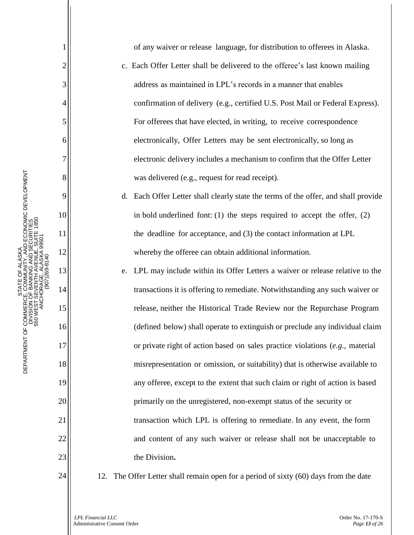OF ALASKA<br>AUNITY, AND ECONOMIC DEVELOPMENT<br>IING AND SECURITIES<br>LA AVENYE ISBOTE 1850 DEPARTMENT OF COMMERCE, COMMUNITY, AND ECONOMIC DEVELOPMENT DEPARTMENT OF COMMERCE, COMMUNITY, AND ECONOMIC DEVELOPMENT 550 WEST SEVENTH AVENUE, SUITE 1850 DIVISION OF BANKING AND SECURITIES 550 WEST SEVENTH AVENUE, SUITE 1850 DIVISION OF BANKING AND SECURITI ANCHORAGE, ALASKA 99501 ANCHORAGE, ALASKA 995 STATE OF ALASKA PHONE: (907) 269-8140 STATE OF ALASK (907)269-8140 TH AVE<br>IE, ALZ STATE O<br>DEPARTMENT OF COMMERCE, COMM<br>DIVISION OF BANKIN<br>SSO WEST SEVENTH

1 2 3 4 5 6 7 8 9 10 11 12 13 14 15 16 17 18 19 20 21 22 23 24 of any waiver or release language, for distribution to offerees in Alaska. c. Each Offer Letter shall be delivered to the offeree's last known mailing address as maintained in LPL's records in a manner that enables confirmation of delivery (e.g., certified U.S. Post Mail or Federal Express). For offerees that have elected, in writing, to receive correspondence electronically, Offer Letters may be sent electronically, so long as electronic delivery includes a mechanism to confirm that the Offer Letter was delivered (e.g., request for read receipt). d. Each Offer Letter shall clearly state the terms of the offer, and shall provide in bold underlined font: (1) the steps required to accept the offer, (2) the deadline for acceptance, and (3) the contact information at LPL whereby the offeree can obtain additional information. e. LPL may include within its Offer Letters a waiver or release relative to the transactions it is offering to remediate. Notwithstanding any such waiver or release, neither the Historical Trade Review nor the Repurchase Program (defined below) shall operate to extinguish or preclude any individual claim or private right of action based on sales practice violations (*e.g*., material misrepresentation or omission, or suitability) that is otherwise available to any offeree, except to the extent that such claim or right of action is based primarily on the unregistered, non-exempt status of the security or transaction which LPL is offering to remediate. In any event, the form and content of any such waiver or release shall not be unacceptable to the Division**.** 12. The Offer Letter shall remain open for a period of sixty (60) days from the date

*LPL Financial LLC* Order No. 17-170-S Administrative Consent Order *Page 13 of 26*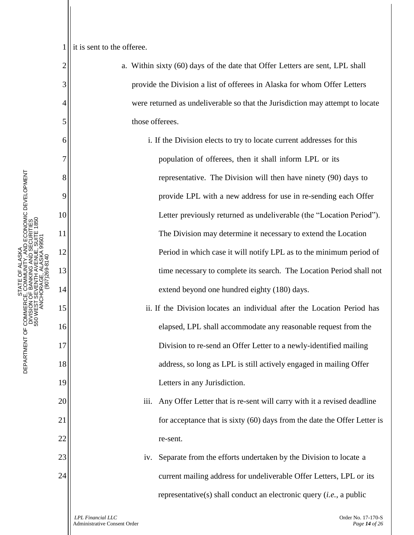1 it is sent to the offeree.

2

3

4

5

6

7

8

9

10

11

12

13

14

15

16

17

18

19

20

21

22

23

24

a. Within sixty (60) days of the date that Offer Letters are sent, LPL shall provide the Division a list of offerees in Alaska for whom Offer Letters were returned as undeliverable so that the Jurisdiction may attempt to locate those offerees.

> i. If the Division elects to try to locate current addresses for this population of offerees, then it shall inform LPL or its representative. The Division will then have ninety (90) days to provide LPL with a new address for use in re-sending each Offer Letter previously returned as undeliverable (the "Location Period"). The Division may determine it necessary to extend the Location Period in which case it will notify LPL as to the minimum period of time necessary to complete its search. The Location Period shall not extend beyond one hundred eighty (180) days.

- ii. If the Division locates an individual after the Location Period has elapsed, LPL shall accommodate any reasonable request from the Division to re-send an Offer Letter to a newly-identified mailing address, so long as LPL is still actively engaged in mailing Offer Letters in any Jurisdiction.
- iii. Any Offer Letter that is re-sent will carry with it a revised deadline for acceptance that is sixty (60) days from the date the Offer Letter is re-sent.
- iv. Separate from the efforts undertaken by the Division to locate a current mailing address for undeliverable Offer Letters, LPL or its representative(s) shall conduct an electronic query (*i.e.*, a public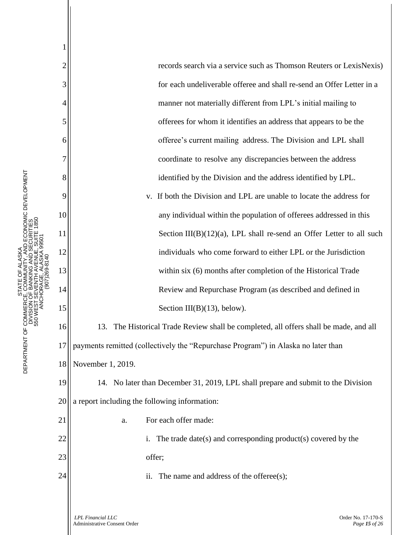records search via a service such as Thomson Reuters or LexisNexis) for each undeliverable offeree and shall re-send an Offer Letter in a manner not materially different from LPL's initial mailing to offerees for whom it identifies an address that appears to be the offeree's current mailing address. The Division and LPL shall coordinate to resolve any discrepancies between the address identified by the Division and the address identified by LPL.

v. If both the Division and LPL are unable to locate the address for any individual within the population of offerees addressed in this Section  $III(B)(12)(a)$ , LPL shall re-send an Offer Letter to all such individuals who come forward to either LPL or the Jurisdiction within six (6) months after completion of the Historical Trade Review and Repurchase Program (as described and defined in Section III(B)(13), below).

16 17 18 13. The Historical Trade Review shall be completed, all offers shall be made, and all payments remitted (collectively the "Repurchase Program") in Alaska no later than November 1, 2019.

19 20 14. No later than December 31, 2019, LPL shall prepare and submit to the Division a report including the following information:

a. For each offer made:

i. The trade date(s) and corresponding product(s) covered by the offer;

ii. The name and address of the offeree(s);

- ALASKA<br>INITY, AND ECONOMIC DEVELOPMENT<br>IG AND SECURITIES<br>AVENUE, SUITE 1850 DEPARTMENT OF COMMERCE, COMMUNITY, AND ECONOMIC DEVELOPMENT DEPARTMENT OF COMMERCE, COMMUNITY, AND ECONOMIC DEVELOPMENT 550 WEST SEVENTH AVENUE, SUITE 1850 DIVISION OF BANKING AND SECURITIES 550 WEST SEVENTH AVENUE, SUITE 1850 DIVISION OF BANKING AND SECURITI ANCHORAGE, ALASKA 99501 ANCHORAGE, ALASKA 995 STATE OF ALASKA PHONE: (907) 269-8140 STATE OF ALASK (907)269-8140 ...<br>ਜੰਉਲ DEPARTMENT OF COMMERCI<br>DIVISION<br>550 WEST S

1

2

3

4

5

6

7

8

9

10

11

12

13

14

15

21

22

23

24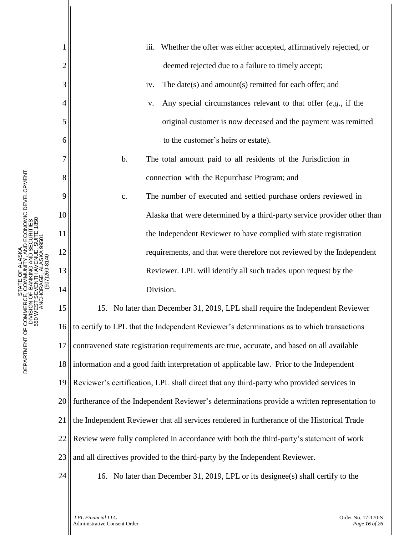|                | Whether the offer was either accepted, affirmatively rejected, or<br>iii.                    |
|----------------|----------------------------------------------------------------------------------------------|
| $\overline{c}$ | deemed rejected due to a failure to timely accept;                                           |
| 3              | The date(s) and amount(s) remitted for each offer; and<br>iv.                                |
| 4              | Any special circumstances relevant to that offer $(e.g.,$ if the<br>V.                       |
| 5              | original customer is now deceased and the payment was remitted                               |
| 6              | to the customer's heirs or estate).                                                          |
| 7              | b.<br>The total amount paid to all residents of the Jurisdiction in                          |
| 8              | connection with the Repurchase Program; and                                                  |
| 9              | The number of executed and settled purchase orders reviewed in<br>$\mathbf{c}$ .             |
| 10             | Alaska that were determined by a third-party service provider other than                     |
| 11             | the Independent Reviewer to have complied with state registration                            |
| 12             | requirements, and that were therefore not reviewed by the Independent                        |
| 13             | Reviewer. LPL will identify all such trades upon request by the                              |
| 14             | Division.                                                                                    |
| 15             | 15. No later than December 31, 2019, LPL shall require the Independent Reviewer              |
| 16             | to certify to LPL that the Independent Reviewer's determinations as to which transactions    |
| 17             | contravened state registration requirements are true, accurate, and based on all available   |
| 18             | information and a good faith interpretation of applicable law. Prior to the Independent      |
| 19             | Reviewer's certification, LPL shall direct that any third-party who provided services in     |
| 20             | furtherance of the Independent Reviewer's determinations provide a written representation to |
| 21             | the Independent Reviewer that all services rendered in furtherance of the Historical Trade   |
| 22             | Review were fully completed in accordance with both the third-party's statement of work      |
| 23             | and all directives provided to the third-party by the Independent Reviewer.                  |
| 24             | 16. No later than December 31, 2019, LPL or its designee(s) shall certify to the             |

*LPL Financial LLC* Order No. 17-170-S Administrative Consent Order *Page 16 of 26*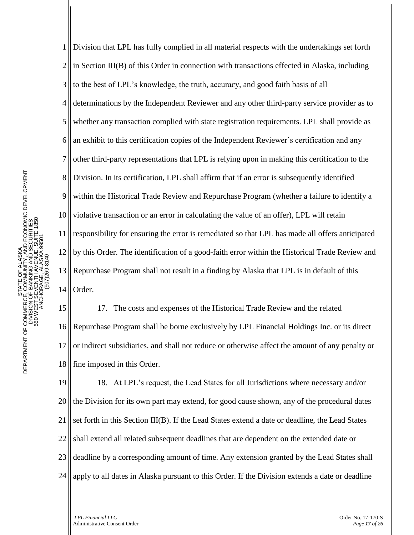1 2 3 4 5 6 7 8 9 10 11 12 13 14 Division that LPL has fully complied in all material respects with the undertakings set forth in Section III(B) of this Order in connection with transactions effected in Alaska, including to the best of LPL's knowledge, the truth, accuracy, and good faith basis of all determinations by the Independent Reviewer and any other third-party service provider as to whether any transaction complied with state registration requirements. LPL shall provide as an exhibit to this certification copies of the Independent Reviewer's certification and any other third-party representations that LPL is relying upon in making this certification to the Division. In its certification, LPL shall affirm that if an error is subsequently identified within the Historical Trade Review and Repurchase Program (whether a failure to identify a violative transaction or an error in calculating the value of an offer), LPL will retain responsibility for ensuring the error is remediated so that LPL has made all offers anticipated by this Order. The identification of a good-faith error within the Historical Trade Review and Repurchase Program shall not result in a finding by Alaska that LPL is in default of this Order.

15 16 17 18 17. The costs and expenses of the Historical Trade Review and the related Repurchase Program shall be borne exclusively by LPL Financial Holdings Inc. or its direct or indirect subsidiaries, and shall not reduce or otherwise affect the amount of any penalty or fine imposed in this Order.

19 20 21 22 23 24 18. At LPL's request, the Lead States for all Jurisdictions where necessary and/or the Division for its own part may extend, for good cause shown, any of the procedural dates set forth in this Section III(B). If the Lead States extend a date or deadline, the Lead States shall extend all related subsequent deadlines that are dependent on the extended date or deadline by a corresponding amount of time. Any extension granted by the Lead States shall apply to all dates in Alaska pursuant to this Order. If the Division extends a date or deadline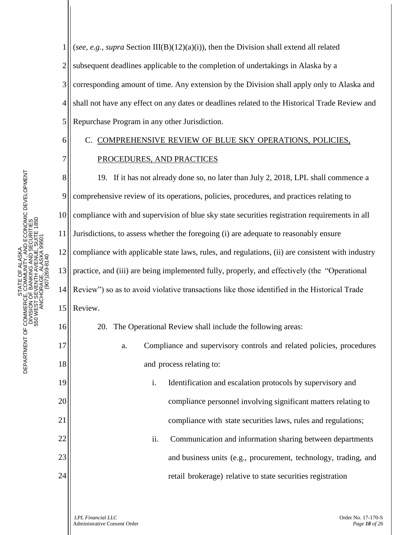1 2 3 4 5 (*see, e.g., supra* Section III(B)(12)(a)(i)), then the Division shall extend all related subsequent deadlines applicable to the completion of undertakings in Alaska by a corresponding amount of time. Any extension by the Division shall apply only to Alaska and shall not have any effect on any dates or deadlines related to the Historical Trade Review and Repurchase Program in any other Jurisdiction.

# C. COMPREHENSIVE REVIEW OF BLUE SKY OPERATIONS, POLICIES, PROCEDURES, AND PRACTICES

8 9 10 11 12 13 14 15 19. If it has not already done so, no later than July 2, 2018, LPL shall commence a comprehensive review of its operations, policies, procedures, and practices relating to compliance with and supervision of blue sky state securities registration requirements in all Jurisdictions, to assess whether the foregoing (i) are adequate to reasonably ensure compliance with applicable state laws, rules, and regulations, (ii) are consistent with industry practice, and (iii) are being implemented fully, properly, and effectively (the "Operational Review") so as to avoid violative transactions like those identified in the Historical Trade Review.

20. The Operational Review shall include the following areas:

- a. Compliance and supervisory controls and related policies, procedures and process relating to:
	- i. Identification and escalation protocols by supervisory and compliance personnel involving significant matters relating to compliance with state securities laws, rules and regulations;
	- ii. Communication and information sharing between departments and business units (e.g., procurement, technology, trading, and retail brokerage) relative to state securities registration

16

17

18

19

20

21

22

23

24

6

7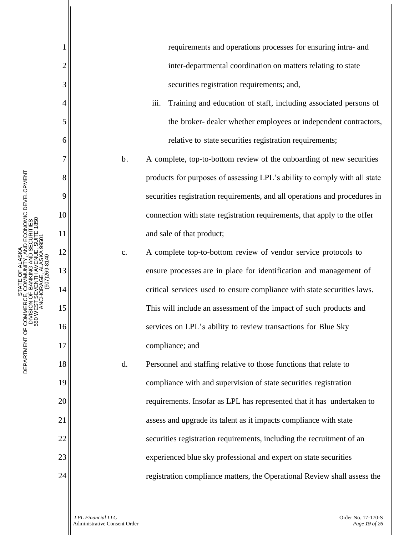1 2 3 4 5 6 7 DEPARTMENT OF COMMERCE, COMMUNITY, AND ECONOMIC DEVELOPMENT DEPARTMENT OF COMMERCE, COMMUNITY, AND ECONOMIC DEVELOPMENT<br>DIVISION OF BANKING AND SECURITIES<br>DIVISION OF BANKING AND SECURITIES<br>550 WENDERS ANGEL ALASKA 99501 8 DEPARTMENT OF COMMERCE, COMMUNITY, AND ECONOMIC DEVELOPMENT 9 10 550 WEST SEVENTH AVENUE, SUITE 1850 DIVISION OF BANKING AND SECURITIES 550 WEST SEVENTH AVENUE, SUITE 1850 DIVISION OF BANKING AND SECURITI 11 ANCHORAGE, ALASKA 99501 ANCHORAGE, ALASKA 995 PHONE: (907) 269-8140 12 (907)269-8140 13 14 15 16 17 18 19 20 21 22 23 24

STATE OF ALASK

STATE OF ALASKA

requirements and operations processes for ensuring intra- and inter-departmental coordination on matters relating to state securities registration requirements; and,

- iii. Training and education of staff, including associated persons of the broker- dealer whether employees or independent contractors, relative to state securities registration requirements;
- b. A complete, top-to-bottom review of the onboarding of new securities products for purposes of assessing LPL's ability to comply with all state securities registration requirements, and all operations and procedures in connection with state registration requirements, that apply to the offer and sale of that product;
- c. A complete top-to-bottom review of vendor service protocols to ensure processes are in place for identification and management of critical services used to ensure compliance with state securities laws. This will include an assessment of the impact of such products and services on LPL's ability to review transactions for Blue Sky compliance; and
- d. Personnel and staffing relative to those functions that relate to compliance with and supervision of state securities registration requirements. Insofar as LPL has represented that it has undertaken to assess and upgrade its talent as it impacts compliance with state securities registration requirements, including the recruitment of an experienced blue sky professional and expert on state securities registration compliance matters, the Operational Review shall assess the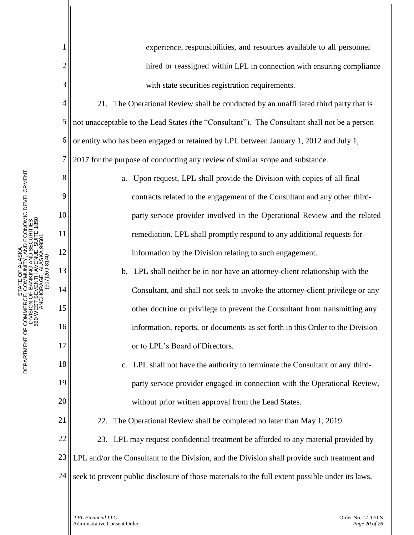1 2 3 4 5 6 7 8 9 10 11 12 13 14 15 16 17 18 19 20 21 22 23 24 experience, responsibilities, and resources available to all personnel hired or reassigned within LPL in connection with ensuring compliance with state securities registration requirements. 21. The Operational Review shall be conducted by an unaffiliated third party that is not unacceptable to the Lead States (the "Consultant"). The Consultant shall not be a person or entity who has been engaged or retained by LPL between January 1, 2012 and July 1, 2017 for the purpose of conducting any review of similar scope and substance. a. Upon request, LPL shall provide the Division with copies of all final contracts related to the engagement of the Consultant and any other thirdparty service provider involved in the Operational Review and the related remediation. LPL shall promptly respond to any additional requests for information by the Division relating to such engagement. b. LPL shall neither be in nor have an attorney-client relationship with the Consultant, and shall not seek to invoke the attorney-client privilege or any other doctrine or privilege to prevent the Consultant from transmitting any information, reports, or documents as set forth in this Order to the Division or to LPL's Board of Directors. c. LPL shall not have the authority to terminate the Consultant or any thirdparty service provider engaged in connection with the Operational Review, without prior written approval from the Lead States. 22. The Operational Review shall be completed no later than May 1, 2019. 23. LPL may request confidential treatment be afforded to any material provided by LPL and/or the Consultant to the Division, and the Division shall provide such treatment and seek to prevent public disclosure of those materials to the full extent possible under its laws.

DEPARTMENT OF COMMERCE, COMMUNITY, AND ECONOMIC DEVELOPMENT DEPARTMENT OF COMMERCE, COMMUNITY, AND ECONOMIC DEVELOPMENT<br>DIVISION OF BANKING AND SECURITIES<br>DIVISION OF BANKING AND SECURITIES<br>550 WENDERS ANGEL ALASKA 99501 DEPARTMENT OF COMMERCE, COMMUNITY, AND ECONOMIC DEVELOPMENT 550 WEST SEVENTH AVENUE, SUITE 1850 DIVISION OF BANKING AND SECURITIES 550 WEST SEVENTH AVENUE, SUITE 1850 DIVISION OF BANKING AND SECURITI ANCHORAGE, ALASKA 99501 ANCHORAGE, ALASKA 995 STATE OF ALASKA PHONE: (907) 269-8140 STATE OF ALASK (907)269-8140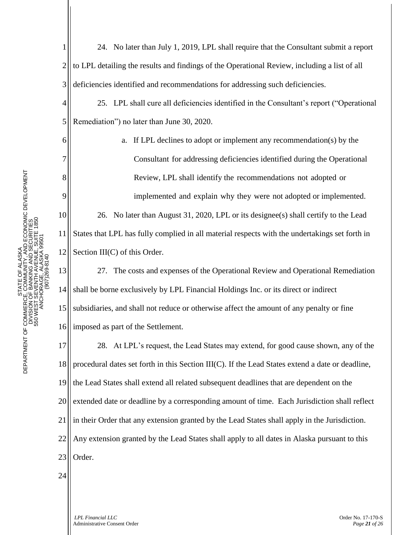1 2 3 4 5 6 7 8 9 10 11 12 13 14 15 16 17 18 19 20 21 22 23 24 24. No later than July 1, 2019, LPL shall require that the Consultant submit a report to LPL detailing the results and findings of the Operational Review, including a list of all deficiencies identified and recommendations for addressing such deficiencies. 25. LPL shall cure all deficiencies identified in the Consultant's report ("Operational Remediation") no later than June 30, 2020. a. If LPL declines to adopt or implement any recommendation(s) by the Consultant for addressing deficiencies identified during the Operational Review, LPL shall identify the recommendations not adopted or implemented and explain why they were not adopted or implemented. 26. No later than August 31, 2020, LPL or its designee(s) shall certify to the Lead States that LPL has fully complied in all material respects with the undertakings set forth in Section III(C) of this Order. 27. The costs and expenses of the Operational Review and Operational Remediation shall be borne exclusively by LPL Financial Holdings Inc. or its direct or indirect subsidiaries, and shall not reduce or otherwise affect the amount of any penalty or fine imposed as part of the Settlement. 28. At LPL's request, the Lead States may extend, for good cause shown, any of the procedural dates set forth in this Section III(C). If the Lead States extend a date or deadline, the Lead States shall extend all related subsequent deadlines that are dependent on the extended date or deadline by a corresponding amount of time. Each Jurisdiction shall reflect in their Order that any extension granted by the Lead States shall apply in the Jurisdiction. Any extension granted by the Lead States shall apply to all dates in Alaska pursuant to this Order.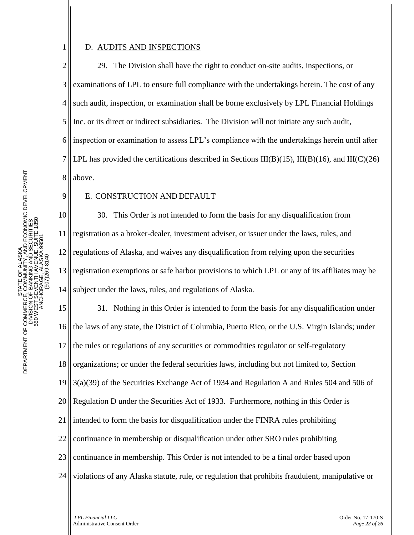# D. AUDITS AND INSPECTIONS

1

9

11

2 3 4 5 6 7 8 29. The Division shall have the right to conduct on-site audits, inspections, or examinations of LPL to ensure full compliance with the undertakings herein. The cost of any such audit, inspection, or examination shall be borne exclusively by LPL Financial Holdings Inc. or its direct or indirect subsidiaries. The Division will not initiate any such audit, inspection or examination to assess LPL's compliance with the undertakings herein until after LPL has provided the certifications described in Sections III(B)(15), III(B)(16), and III(C)(26) above.

## E. CONSTRUCTION AND DEFAULT

10 12 13 14 30. This Order is not intended to form the basis for any disqualification from registration as a broker-dealer, investment adviser, or issuer under the laws, rules, and regulations of Alaska, and waives any disqualification from relying upon the securities registration exemptions or safe harbor provisions to which LPL or any of its affiliates may be subject under the laws, rules, and regulations of Alaska.

15 16 17 18 19 20 21 22 23 24 31. Nothing in this Order is intended to form the basis for any disqualification under the laws of any state, the District of Columbia, Puerto Rico, or the U.S. Virgin Islands; under the rules or regulations of any securities or commodities regulator or self-regulatory organizations; or under the federal securities laws, including but not limited to, Section 3(a)(39) of the Securities Exchange Act of 1934 and Regulation A and Rules 504 and 506 of Regulation D under the Securities Act of 1933. Furthermore, nothing in this Order is intended to form the basis for disqualification under the FINRA rules prohibiting continuance in membership or disqualification under other SRO rules prohibiting continuance in membership. This Order is not intended to be a final order based upon violations of any Alaska statute, rule, or regulation that prohibits fraudulent, manipulative or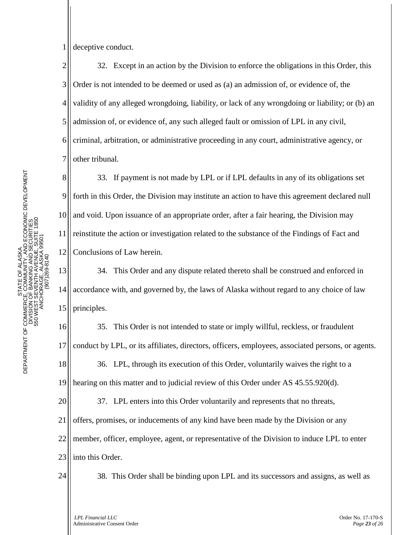9

10

11

12

1 deceptive conduct.

2 3 4 5 6 7 32. Except in an action by the Division to enforce the obligations in this Order, this Order is not intended to be deemed or used as (a) an admission of, or evidence of, the validity of any alleged wrongdoing, liability, or lack of any wrongdoing or liability; or (b) an admission of, or evidence of, any such alleged fault or omission of LPL in any civil, criminal, arbitration, or administrative proceeding in any court, administrative agency, or other tribunal.

33. If payment is not made by LPL or if LPL defaults in any of its obligations set forth in this Order, the Division may institute an action to have this agreement declared null and void. Upon issuance of an appropriate order, after a fair hearing, the Division may reinstitute the action or investigation related to the substance of the Findings of Fact and Conclusions of Law herein.

13 14 15 34. This Order and any dispute related thereto shall be construed and enforced in accordance with, and governed by, the laws of Alaska without regard to any choice of law principles.

16 17 18 19 20 21 22 23 35. This Order is not intended to state or imply willful, reckless, or fraudulent conduct by LPL, or its affiliates, directors, officers, employees, associated persons, or agents. 36. LPL, through its execution of this Order, voluntarily waives the right to a hearing on this matter and to judicial review of this Order under AS 45.55.920(d). 37. LPL enters into this Order voluntarily and represents that no threats, offers, promises, or inducements of any kind have been made by the Division or any member, officer, employee, agent, or representative of the Division to induce LPL to enter into this Order.

24

38. This Order shall be binding upon LPL and its successors and assigns, as well as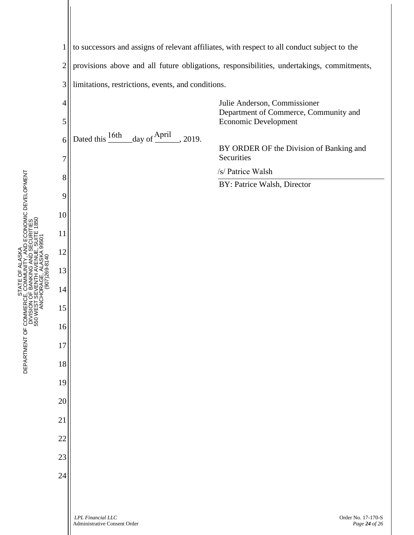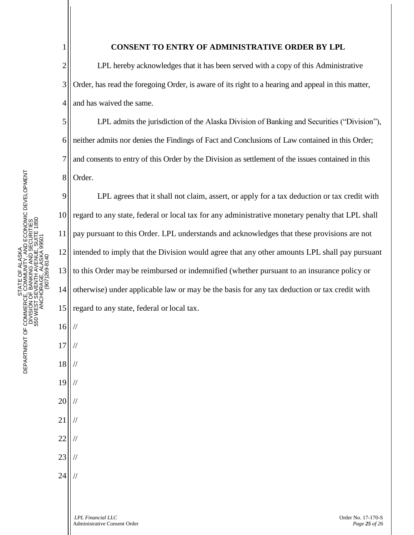5

6

7

8

16

//

//

//

//

//

//

//

//

//

17

18

19

20

21

22

23

24

## **CONSENT TO ENTRY OF ADMINISTRATIVE ORDER BY LPL**

2 3 4 LPL hereby acknowledges that it has been served with a copy of this Administrative Order, has read the foregoing Order, is aware of its right to a hearing and appeal in this matter, and has waived the same.

LPL admits the jurisdiction of the Alaska Division of Banking and Securities ("Division"), neither admits nor denies the Findings of Fact and Conclusions of Law contained in this Order; and consents to entry of this Order by the Division as settlement of the issues contained in this Order.

9 10 11 12 13 14 15 LPL agrees that it shall not claim, assert, or apply for a tax deduction or tax credit with regard to any state, federal or local tax for any administrative monetary penalty that LPL shall pay pursuant to this Order. LPL understands and acknowledges that these provisions are not intended to imply that the Division would agree that any other amounts LPL shall pay pursuant to this Order may be reimbursed or indemnified (whether pursuant to an insurance policy or otherwise) under applicable law or may be the basis for any tax deduction or tax credit with regard to any state, federal or local tax.